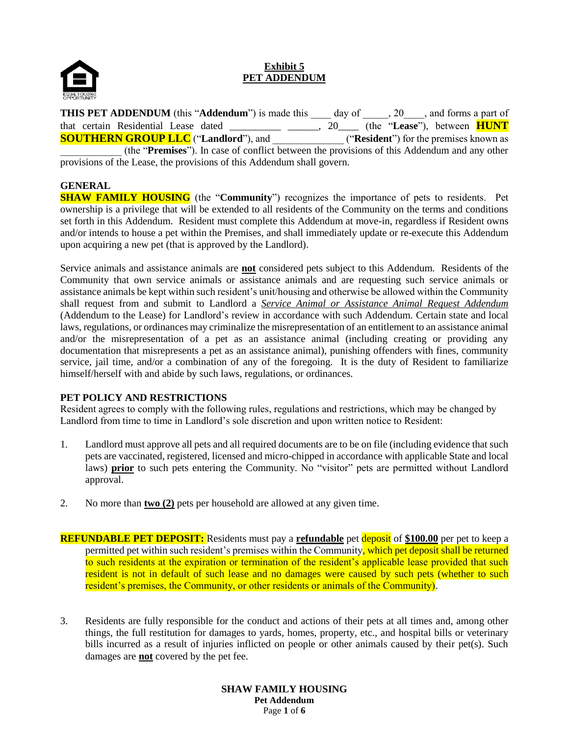

# **Exhibit 5 PET ADDENDUM**

**THIS PET ADDENDUM** (this "Addendum") is made this \_\_\_\_ day of \_\_\_\_\_, 20\_\_\_\_, and forms a part of that certain Residential Lease dated \_\_\_\_\_\_\_\_\_\_ \_\_\_\_\_\_, 20\_\_\_\_ (the "**Lease**"), between **HUNT SOUTHERN GROUP LLC** ("**Landlord**"), and \_\_\_\_\_\_\_\_\_\_\_\_\_\_ ("**Resident**") for the premises known as \_\_\_\_\_\_\_\_\_\_\_\_ (the "**Premises**"). In case of conflict between the provisions of this Addendum and any other provisions of the Lease, the provisions of this Addendum shall govern.

# **GENERAL**

**SHAW FAMILY HOUSING** (the "**Community**") recognizes the importance of pets to residents. Pet ownership is a privilege that will be extended to all residents of the Community on the terms and conditions set forth in this Addendum. Resident must complete this Addendum at move-in, regardless if Resident owns and/or intends to house a pet within the Premises, and shall immediately update or re-execute this Addendum upon acquiring a new pet (that is approved by the Landlord).

Service animals and assistance animals are **not** considered pets subject to this Addendum. Residents of the Community that own service animals or assistance animals and are requesting such service animals or assistance animals be kept within such resident's unit/housing and otherwise be allowed within the Community shall request from and submit to Landlord a *Service Animal or Assistance Animal Request Addendum* (Addendum to the Lease) for Landlord's review in accordance with such Addendum. Certain state and local laws, regulations, or ordinances may criminalize the misrepresentation of an entitlement to an assistance animal and/or the misrepresentation of a pet as an assistance animal (including creating or providing any documentation that misrepresents a pet as an assistance animal), punishing offenders with fines, community service, jail time, and/or a combination of any of the foregoing. It is the duty of Resident to familiarize himself/herself with and abide by such laws, regulations, or ordinances.

### **PET POLICY AND RESTRICTIONS**

Resident agrees to comply with the following rules, regulations and restrictions, which may be changed by Landlord from time to time in Landlord's sole discretion and upon written notice to Resident:

- 1. Landlord must approve all pets and all required documents are to be on file (including evidence that such pets are vaccinated, registered, licensed and micro-chipped in accordance with applicable State and local laws) **prior** to such pets entering the Community. No "visitor" pets are permitted without Landlord approval.
- 2. No more than **two (2)** pets per household are allowed at any given time.
- **REFUNDABLE PET DEPOSIT:** Residents must pay a **refundable** pet deposit of **\$100.00** per pet to keep a permitted pet within such resident's premises within the Community, which pet deposit shall be returned to such residents at the expiration or termination of the resident's applicable lease provided that such resident is not in default of such lease and no damages were caused by such pets (whether to such resident's premises, the Community, or other residents or animals of the Community).
- 3. Residents are fully responsible for the conduct and actions of their pets at all times and, among other things, the full restitution for damages to yards, homes, property, etc., and hospital bills or veterinary bills incurred as a result of injuries inflicted on people or other animals caused by their pet(s). Such damages are **not** covered by the pet fee.

**SHAW FAMILY HOUSING Pet Addendum** Page **1** of **6**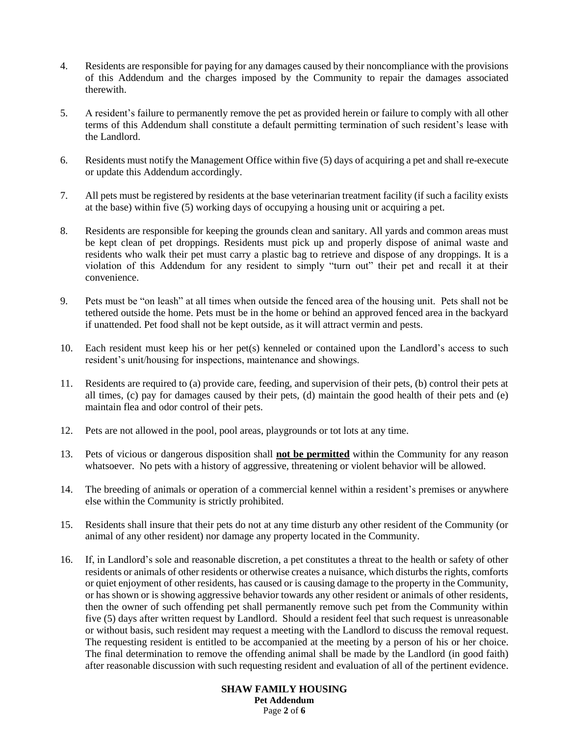- 4. Residents are responsible for paying for any damages caused by their noncompliance with the provisions of this Addendum and the charges imposed by the Community to repair the damages associated therewith.
- 5. A resident's failure to permanently remove the pet as provided herein or failure to comply with all other terms of this Addendum shall constitute a default permitting termination of such resident's lease with the Landlord.
- 6. Residents must notify the Management Office within five (5) days of acquiring a pet and shall re-execute or update this Addendum accordingly.
- 7. All pets must be registered by residents at the base veterinarian treatment facility (if such a facility exists at the base) within five (5) working days of occupying a housing unit or acquiring a pet.
- 8. Residents are responsible for keeping the grounds clean and sanitary. All yards and common areas must be kept clean of pet droppings. Residents must pick up and properly dispose of animal waste and residents who walk their pet must carry a plastic bag to retrieve and dispose of any droppings. It is a violation of this Addendum for any resident to simply "turn out" their pet and recall it at their convenience.
- 9. Pets must be "on leash" at all times when outside the fenced area of the housing unit. Pets shall not be tethered outside the home. Pets must be in the home or behind an approved fenced area in the backyard if unattended. Pet food shall not be kept outside, as it will attract vermin and pests.
- 10. Each resident must keep his or her pet(s) kenneled or contained upon the Landlord's access to such resident's unit/housing for inspections, maintenance and showings.
- 11. Residents are required to (a) provide care, feeding, and supervision of their pets, (b) control their pets at all times, (c) pay for damages caused by their pets, (d) maintain the good health of their pets and (e) maintain flea and odor control of their pets.
- 12. Pets are not allowed in the pool, pool areas, playgrounds or tot lots at any time.
- 13. Pets of vicious or dangerous disposition shall **not be permitted** within the Community for any reason whatsoever. No pets with a history of aggressive, threatening or violent behavior will be allowed.
- 14. The breeding of animals or operation of a commercial kennel within a resident's premises or anywhere else within the Community is strictly prohibited.
- 15. Residents shall insure that their pets do not at any time disturb any other resident of the Community (or animal of any other resident) nor damage any property located in the Community.
- 16. If, in Landlord's sole and reasonable discretion, a pet constitutes a threat to the health or safety of other residents or animals of other residents or otherwise creates a nuisance, which disturbs the rights, comforts or quiet enjoyment of other residents, has caused or is causing damage to the property in the Community, or has shown or is showing aggressive behavior towards any other resident or animals of other residents, then the owner of such offending pet shall permanently remove such pet from the Community within five (5) days after written request by Landlord. Should a resident feel that such request is unreasonable or without basis, such resident may request a meeting with the Landlord to discuss the removal request. The requesting resident is entitled to be accompanied at the meeting by a person of his or her choice. The final determination to remove the offending animal shall be made by the Landlord (in good faith) after reasonable discussion with such requesting resident and evaluation of all of the pertinent evidence.

**SHAW FAMILY HOUSING Pet Addendum** Page **2** of **6**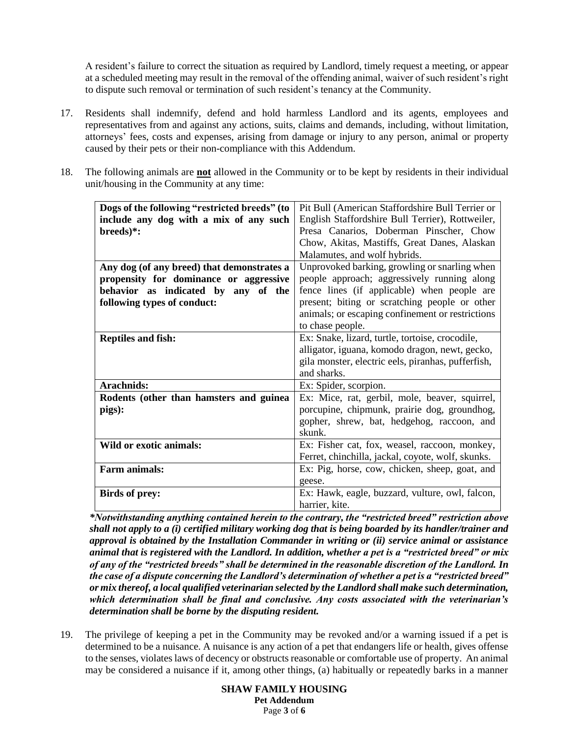A resident's failure to correct the situation as required by Landlord, timely request a meeting, or appear at a scheduled meeting may result in the removal of the offending animal, waiver of such resident's right to dispute such removal or termination of such resident's tenancy at the Community.

- 17. Residents shall indemnify, defend and hold harmless Landlord and its agents, employees and representatives from and against any actions, suits, claims and demands, including, without limitation, attorneys' fees, costs and expenses, arising from damage or injury to any person, animal or property caused by their pets or their non-compliance with this Addendum.
- 18. The following animals are **not** allowed in the Community or to be kept by residents in their individual unit/housing in the Community at any time:

| Dogs of the following "restricted breeds" (to | Pit Bull (American Staffordshire Bull Terrier or   |  |  |
|-----------------------------------------------|----------------------------------------------------|--|--|
| include any dog with a mix of any such        | English Staffordshire Bull Terrier), Rottweiler,   |  |  |
| $breaks$ :                                    | Presa Canarios, Doberman Pinscher, Chow            |  |  |
|                                               | Chow, Akitas, Mastiffs, Great Danes, Alaskan       |  |  |
|                                               | Malamutes, and wolf hybrids.                       |  |  |
| Any dog (of any breed) that demonstrates a    | Unprovoked barking, growling or snarling when      |  |  |
| propensity for dominance or aggressive        | people approach; aggressively running along        |  |  |
| behavior as indicated by any of the           | fence lines (if applicable) when people are        |  |  |
| following types of conduct:                   | present; biting or scratching people or other      |  |  |
|                                               | animals; or escaping confinement or restrictions   |  |  |
|                                               | to chase people.                                   |  |  |
| <b>Reptiles and fish:</b>                     | Ex: Snake, lizard, turtle, tortoise, crocodile,    |  |  |
|                                               | alligator, iguana, komodo dragon, newt, gecko,     |  |  |
|                                               | gila monster, electric eels, piranhas, pufferfish, |  |  |
|                                               | and sharks.                                        |  |  |
| Arachnids:                                    | Ex: Spider, scorpion.                              |  |  |
| Rodents (other than hamsters and guinea       | Ex: Mice, rat, gerbil, mole, beaver, squirrel,     |  |  |
| pigs):                                        | porcupine, chipmunk, prairie dog, groundhog,       |  |  |
|                                               | gopher, shrew, bat, hedgehog, raccoon, and         |  |  |
|                                               | skunk.                                             |  |  |
| Wild or exotic animals:                       | Ex: Fisher cat, fox, weasel, raccoon, monkey,      |  |  |
|                                               | Ferret, chinchilla, jackal, coyote, wolf, skunks.  |  |  |
| Farm animals:                                 | Ex: Pig, horse, cow, chicken, sheep, goat, and     |  |  |
|                                               |                                                    |  |  |
|                                               | geese.                                             |  |  |
| <b>Birds of prey:</b>                         | Ex: Hawk, eagle, buzzard, vulture, owl, falcon,    |  |  |
|                                               | harrier, kite.                                     |  |  |

*\*Notwithstanding anything contained herein to the contrary, the "restricted breed" restriction above shall not apply to a (i) certified military working dog that is being boarded by its handler/trainer and approval is obtained by the Installation Commander in writing or (ii) service animal or assistance animal that is registered with the Landlord. In addition, whether a pet is a "restricted breed" or mix of any of the "restricted breeds" shall be determined in the reasonable discretion of the Landlord. In the case of a dispute concerning the Landlord's determination of whether a pet is a "restricted breed" or mix thereof, a local qualified veterinarian selected by the Landlord shall make such determination, which determination shall be final and conclusive. Any costs associated with the veterinarian's determination shall be borne by the disputing resident.*

19. The privilege of keeping a pet in the Community may be revoked and/or a warning issued if a pet is determined to be a nuisance. A nuisance is any action of a pet that endangers life or health, gives offense to the senses, violates laws of decency or obstructs reasonable or comfortable use of property. An animal may be considered a nuisance if it, among other things, (a) habitually or repeatedly barks in a manner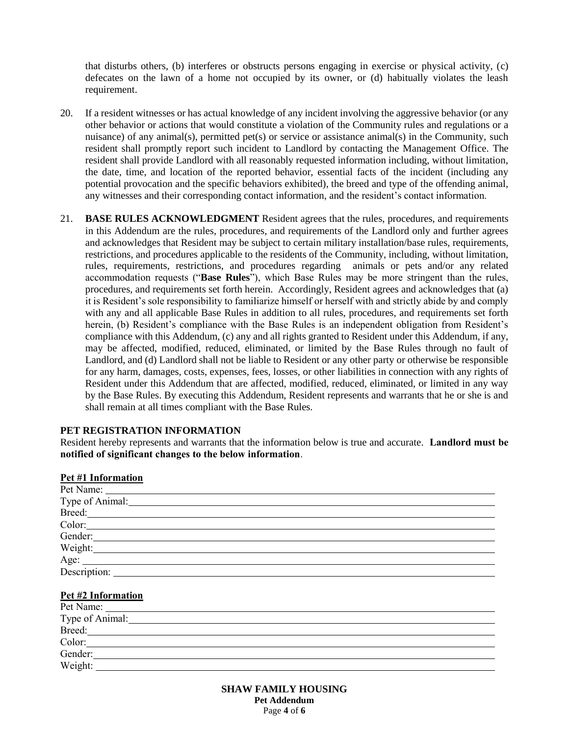that disturbs others, (b) interferes or obstructs persons engaging in exercise or physical activity, (c) defecates on the lawn of a home not occupied by its owner, or (d) habitually violates the leash requirement.

- 20. If a resident witnesses or has actual knowledge of any incident involving the aggressive behavior (or any other behavior or actions that would constitute a violation of the Community rules and regulations or a nuisance) of any animal(s), permitted pet(s) or service or assistance animal(s) in the Community, such resident shall promptly report such incident to Landlord by contacting the Management Office. The resident shall provide Landlord with all reasonably requested information including, without limitation, the date, time, and location of the reported behavior, essential facts of the incident (including any potential provocation and the specific behaviors exhibited), the breed and type of the offending animal, any witnesses and their corresponding contact information, and the resident's contact information.
- 21. **BASE RULES ACKNOWLEDGMENT** Resident agrees that the rules, procedures, and requirements in this Addendum are the rules, procedures, and requirements of the Landlord only and further agrees and acknowledges that Resident may be subject to certain military installation/base rules, requirements, restrictions, and procedures applicable to the residents of the Community, including, without limitation, rules, requirements, restrictions, and procedures regarding animals or pets and/or any related accommodation requests ("**Base Rules**"), which Base Rules may be more stringent than the rules, procedures, and requirements set forth herein. Accordingly, Resident agrees and acknowledges that (a) it is Resident's sole responsibility to familiarize himself or herself with and strictly abide by and comply with any and all applicable Base Rules in addition to all rules, procedures, and requirements set forth herein, (b) Resident's compliance with the Base Rules is an independent obligation from Resident's compliance with this Addendum, (c) any and all rights granted to Resident under this Addendum, if any, may be affected, modified, reduced, eliminated, or limited by the Base Rules through no fault of Landlord, and (d) Landlord shall not be liable to Resident or any other party or otherwise be responsible for any harm, damages, costs, expenses, fees, losses, or other liabilities in connection with any rights of Resident under this Addendum that are affected, modified, reduced, eliminated, or limited in any way by the Base Rules. By executing this Addendum, Resident represents and warrants that he or she is and shall remain at all times compliant with the Base Rules.

### **PET REGISTRATION INFORMATION**

Resident hereby represents and warrants that the information below is true and accurate. **Landlord must be notified of significant changes to the below information**.

#### **Pet #1 Information**

| Type of Animal: |
|-----------------|
| Breed:          |
| Color:          |
| Gender:         |
|                 |
|                 |
| Description:    |

#### **Pet #2 Information**

| Pet Name:<br><u> 1989 - Andrea Andrew Amerikaanse kommunister († 1958)</u> |  |
|----------------------------------------------------------------------------|--|
| Type of Animal:                                                            |  |
| Breed:                                                                     |  |
| Color:                                                                     |  |
| Gender:                                                                    |  |
| Weight:                                                                    |  |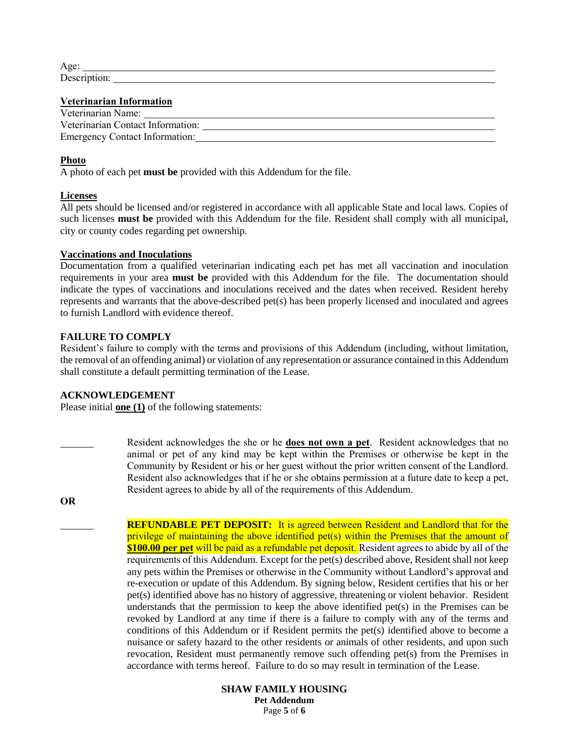| $\sim$ |  |  |  |
|--------|--|--|--|
|        |  |  |  |

# **Veterinarian Information**

| Veterinarian Name:                |  |
|-----------------------------------|--|
| Veterinarian Contact Information: |  |
| Emergency Contact Information:    |  |

## **Photo**

A photo of each pet **must be** provided with this Addendum for the file.

### **Licenses**

All pets should be licensed and/or registered in accordance with all applicable State and local laws. Copies of such licenses **must be** provided with this Addendum for the file. Resident shall comply with all municipal, city or county codes regarding pet ownership.

#### **Vaccinations and Inoculations**

Documentation from a qualified veterinarian indicating each pet has met all vaccination and inoculation requirements in your area **must be** provided with this Addendum for the file. The documentation should indicate the types of vaccinations and inoculations received and the dates when received. Resident hereby represents and warrants that the above-described pet(s) has been properly licensed and inoculated and agrees to furnish Landlord with evidence thereof.

### **FAILURE TO COMPLY**

Resident's failure to comply with the terms and provisions of this Addendum (including, without limitation, the removal of an offending animal) or violation of any representation or assurance contained in this Addendum shall constitute a default permitting termination of the Lease.

Resident agrees to abide by all of the requirements of this Addendum.

### **ACKNOWLEDGEMENT**

Please initial **one (1)** of the following statements:

**OR**

**REFUNDABLE PET DEPOSIT:** It is agreed between Resident and Landlord that for the privilege of maintaining the above identified pet(s) within the Premises that the amount of **\$100.00 per pet** will be paid as a refundable pet deposit. Resident agrees to abide by all of the requirements of this Addendum. Except for the pet(s) described above, Resident shall not keep any pets within the Premises or otherwise in the Community without Landlord's approval and re-execution or update of this Addendum. By signing below, Resident certifies that his or her pet(s) identified above has no history of aggressive, threatening or violent behavior. Resident understands that the permission to keep the above identified pet(s) in the Premises can be revoked by Landlord at any time if there is a failure to comply with any of the terms and conditions of this Addendum or if Resident permits the pet(s) identified above to become a nuisance or safety hazard to the other residents or animals of other residents, and upon such revocation, Resident must permanently remove such offending pet(s) from the Premises in accordance with terms hereof. Failure to do so may result in termination of the Lease.

Resident acknowledges the she or he **does not own a pet**. Resident acknowledges that no animal or pet of any kind may be kept within the Premises or otherwise be kept in the Community by Resident or his or her guest without the prior written consent of the Landlord. Resident also acknowledges that if he or she obtains permission at a future date to keep a pet,

> **SHAW FAMILY HOUSING Pet Addendum** Page **5** of **6**